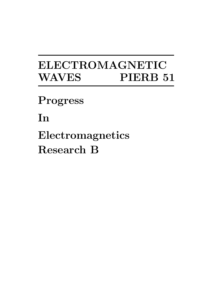# ELECTROMAGNETIC WAVES PIERB 51

Progress

In

Electromagnetics Research B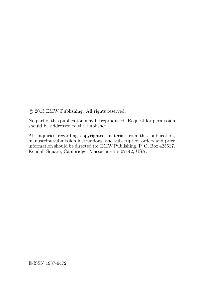°c 2013 EMW Publishing. All rights reserved.

No part of this publication may be reproduced. Request for permission should be addressed to the Publisher.

All inquiries regarding copyrighted material from this publication, manuscript submission instructions, and subscription orders and price information should be directed to: EMW Publishing, P. O. Box 425517, Kendall Square, Cambridge, Massachusetts 02142, USA.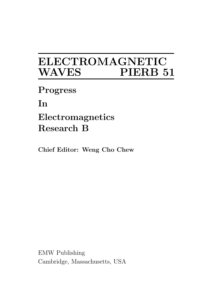## ELECTROMAGNETIC WAVES **WAVES**

Progress

In

### Electromagnetics Research B

Chief Editor: Weng Cho Chew

EMW Publishing Cambridge, Massachusetts, USA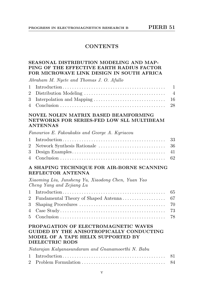#### **CONTENTS**

#### SEASONAL DISTRIBUTION MODELING AND MAP-PING OF THE EFFECTIVE EARTH RADIUS FACTOR FOR MICROWAVE LINK DESIGN IN SOUTH AFRICA

Abraham M. Nyete and Thomas J. O. Afullo

#### NOVEL NOLEN MATRIX BASED BEAMFORMING NETWORKS FOR SERIES-FED LOW SLL MULTIBEAM ANTENNAS

Fanourios E. Fakoukakis and George A. Kyriacou

#### A SHAPING TECHNIQUE FOR AIR-BORNE SCANNING REFLECTOR ANTENNA

Xiaoming Liu, Junsheng Yu, Xiaodong Chen, Yuan Yao Cheng Yang and Zejiang Lu

#### PROPAGATION OF ELECTROMAGNETIC WAVES GUIDED BY THE ANISOTROPICALLY CONDUCTING MODEL OF A TAPE HELIX SUPPORTED BY DIELECTRIC RODS

Natarajan Kalyanasundaram and Gnanamoorthi N. Babu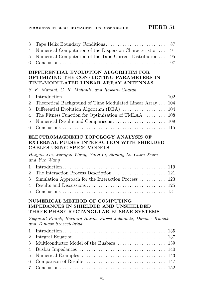#### PROGRESS IN ELECTROMAGNETICS RESEARCH B PIERB 51

| 4 Numerical Computation of the Dispersion Characteristic 91  |  |
|--------------------------------------------------------------|--|
| 5 Numerical Computation of the Tape Current Distribution  95 |  |
|                                                              |  |

#### DIFFERENTIAL EVOLUTION ALGORITHM FOR OPTIMIZING THE CONFLICTING PARAMETERS IN TIME-MODULATED LINEAR ARRAY ANTENNAS

S. K. Mandal, G. K. Mahanti, and Rowdra Ghatak

| 2 Theoretical Background of Time Modulated Linear Array  104 |  |
|--------------------------------------------------------------|--|
|                                                              |  |
| 4 The Fitness Function for Optimization of TMLAA  108        |  |
|                                                              |  |
|                                                              |  |

#### ELECTROMAGNETIC TOPOLOGY ANALYSIS OF EXTERNAL PULSES INTERACTION WITH SHIELDED CABLES USING SPICE MODELS

Haiyan Xie, Jianguo Wang, Yong Li, Shuang Li, Chun Xuan and Yue Wang

| 3 Simulation Approach for the Interaction Process  123 |  |
|--------------------------------------------------------|--|
|                                                        |  |
|                                                        |  |

#### NUMERICAL METHOD OF COMPUTING IMPEDANCES IN SHIELDED AND UNSHIELDED THREE-PHASE RECTANGULAR BUSBAR SYSTEMS

Zygmunt Piatek, Bernard Baron, Pawel Jablonski, Dariusz Kusiak and Tomasz Szczegielniak

| 3 Multiconductor Model of the Busbars  139 |  |  |
|--------------------------------------------|--|--|
|                                            |  |  |
|                                            |  |  |
|                                            |  |  |
|                                            |  |  |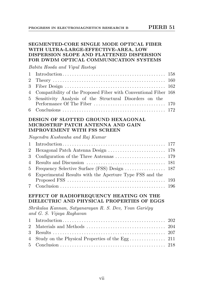#### SEGMENTED-CORE SINGLE MODE OPTICAL FIBER WITH ULTRA-LARGE-EFFECTIVE-AREA, LOW DISPERSION SLOPE AND FLATTENED DISPERSION FOR DWDM OPTICAL COMMUNICATION SYSTEMS

Babita Hooda and Vipul Rastogi

| 4 Compatibility of the Proposed Fiber with Conventional Fiber 168 |  |
|-------------------------------------------------------------------|--|
| 5 Sensitivity Analysis of the Structural Disorders on the         |  |
|                                                                   |  |
|                                                                   |  |

#### DESIGN OF SLOTTED GROUND HEXAGONAL MICROSTRIP PATCH ANTENNA AND GAIN IMPROVEMENT WITH FSS SCREEN

Nagendra Kushwaha and Raj Kumar

| 5 Frequency Selective Surface (FSS) Design  187           |  |
|-----------------------------------------------------------|--|
| 6 Experimental Results with the Aperture Type FSS and the |  |
|                                                           |  |
|                                                           |  |

#### EFFECT OF RADIOFREQUENCY HEATING ON THE DIELECTRIC AND PHYSICAL PROPERTIES OF EGGS

Shrikalaa Kannan, Satyanarayan R. S. Dev, Yvan Gariépy and G. S. Vijaya Raghavan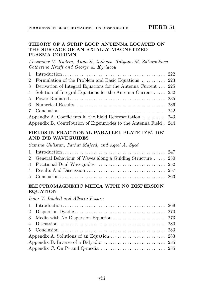#### THEORY OF A STRIP LOOP ANTENNA LOCATED ON THE SURFACE OF AN AXIALLY MAGNETIZED PLASMA COLUMN

Alexander V. Kudrin, Anna S. Zaitseva, Tatyana M. Zaboronkova Catherine Krafft and George A. Kyriacou

| 2 Formulation of the Problem and Basic Equations  223            |  |
|------------------------------------------------------------------|--|
| 3 Derivation of Integral Equations for the Antenna Current  225  |  |
| 4 Solution of Integral Equations for the Antenna Current  232    |  |
|                                                                  |  |
|                                                                  |  |
|                                                                  |  |
| Appendix A. Coefficients in the Field Representation  243        |  |
| Appendix B. Contribution of Eigenmodes to the Antenna Field. 244 |  |

#### FIELDS IN FRACTIONAL PARALLEL PLATE D'B', DB' AND D'B WAVEGUIDES

Samina Gulistan, Farhat Majeed, and Aqeel A. Syed

| 2 General Behaviour of Waves along a Guiding Structure  250 |  |
|-------------------------------------------------------------|--|
|                                                             |  |
|                                                             |  |
|                                                             |  |

#### ELECTROMAGNETIC MEDIA WITH NO DISPERSION EQUATION

Ismo V. Lindell and Alberto Favaro

| Appendix C. On P- and Q-media $\dots \dots \dots \dots \dots \dots \dots \dots \dots$ 285 |  |
|-------------------------------------------------------------------------------------------|--|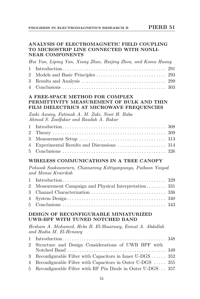#### ANALYSIS OF ELECTROMAGNETIC FIELD COUPLING TO MICROSTRIP LINE CONNECTED WITH NONLI-NEAR COMPONENTS

Hui Yan, Liping Yan, Xiang Zhao, Haijing Zhou, and Kama Huang

#### A FREE-SPACE METHOD FOR COMPLEX PERMITTIVITY MEASUREMENT OF BULK AND THIN FILM DIELECTRICS AT MICROWAVE FREQUENCIES

Zaiki Awang, Fatimah A. M. Zaki, Noor H. Baba Ahmad S. Zoolfakar and Raudah A. Bakar

#### WIRELESS COMMUNICATIONS IN A TREE CANOPY

Pobsook Sooksumrarn, Chainarong Kittiyanpunya, Paiboon Yoiyod and Monai Krairiksh

| 2 Measurement Campaign and Physical Interpretation 331 |  |
|--------------------------------------------------------|--|
|                                                        |  |
|                                                        |  |
|                                                        |  |

#### DESIGN OF RECONFIGURABLE MINIATURIZED UWB-BPF WITH TUNED NOTCHED BAND

Hesham A. Mohamed, Heba B. El-Shaarawy, Esmat A. Abdallah and Hadia M. El-Henawy

| 2 Structure and Design Considerations of UWB BPF with        |  |
|--------------------------------------------------------------|--|
|                                                              |  |
| 3 Reconfigurable Filter with Capacitors in Inner U-DGS  352  |  |
| 4 Reconfigurable Filter with Capacitors in Outer U-DGS  355  |  |
| 5 Reconfigurable Filter with RF Pin Diode in Outer U-DGS 357 |  |